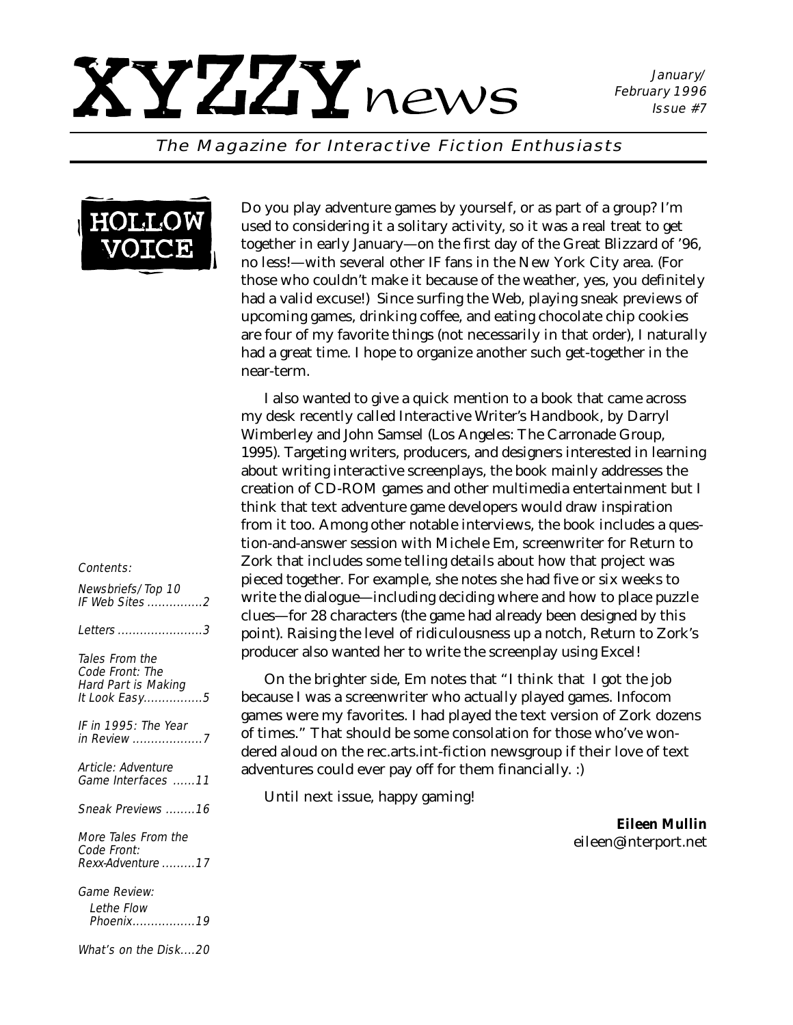January/ February 1996 Issue #7

#### The Magazine for Interactive Fiction Enthusiasts



Do you play adventure games by yourself, or as part of a group? I'm used to considering it a solitary activity, so it was a real treat to get together in early January—on the first day of the Great Blizzard of '96, no less!—with several other IF fans in the New York City area. (For those who couldn't make it because of the weather, yes, you definitely had a valid excuse!) Since surfing the Web, playing sneak previews of upcoming games, drinking coffee, and eating chocolate chip cookies are four of my favorite things (not necessarily in that order), I naturally had a great time. I hope to organize another such get-together in the near-term.

I also wanted to give a quick mention to a book that came across my desk recently called *Interactive Writer's Handbook,* by Darryl Wimberley and John Samsel (Los Angeles: The Carronade Group, 1995). Targeting writers, producers, and designers interested in learning about writing interactive screenplays, the book mainly addresses the creation of CD-ROM games and other multimedia entertainment but I think that text adventure game developers would draw inspiration from it too. Among other notable interviews, the book includes a question-and-answer session with Michele Em, screenwriter for Return to Zork that includes some telling details about how that project was pieced together. For example, she notes she had five or six weeks to write the dialogue—including deciding where and how to place puzzle clues—for 28 characters (the game had already been designed by this point). Raising the level of ridiculousness up a notch, *Return to Zork*'s producer also wanted her to write the screenplay using Excel!

On the brighter side, Em notes that "I think that I got the job because I was a screenwriter who actually played games. Infocom games were my favorites. I had played the text version of Zork dozens of times." That should be some consolation for those who've wondered aloud on the rec.arts.int-fiction newsgroup if their love of text adventures could ever pay off for them financially. :)

Until next issue, happy gaming!

*Eileen Mullin eileen@interport.net*

#### Contents:

| Newsbriefs/Top 10     |  |
|-----------------------|--|
| <i>IF Web Sites</i> 2 |  |
|                       |  |

Letters .......................3

Tales From the Code Front: The Hard Part is Making It Look Easy................5

IF in 1995: The Year in Review ...................7

Article: Adventure Game Interfaces ......11

Sneak Previews ........16

More Tales From the Code Front: Rexx-Adventure .........17

Game Review:

Lethe Flow Phoenix.................19

What's on the Disk....20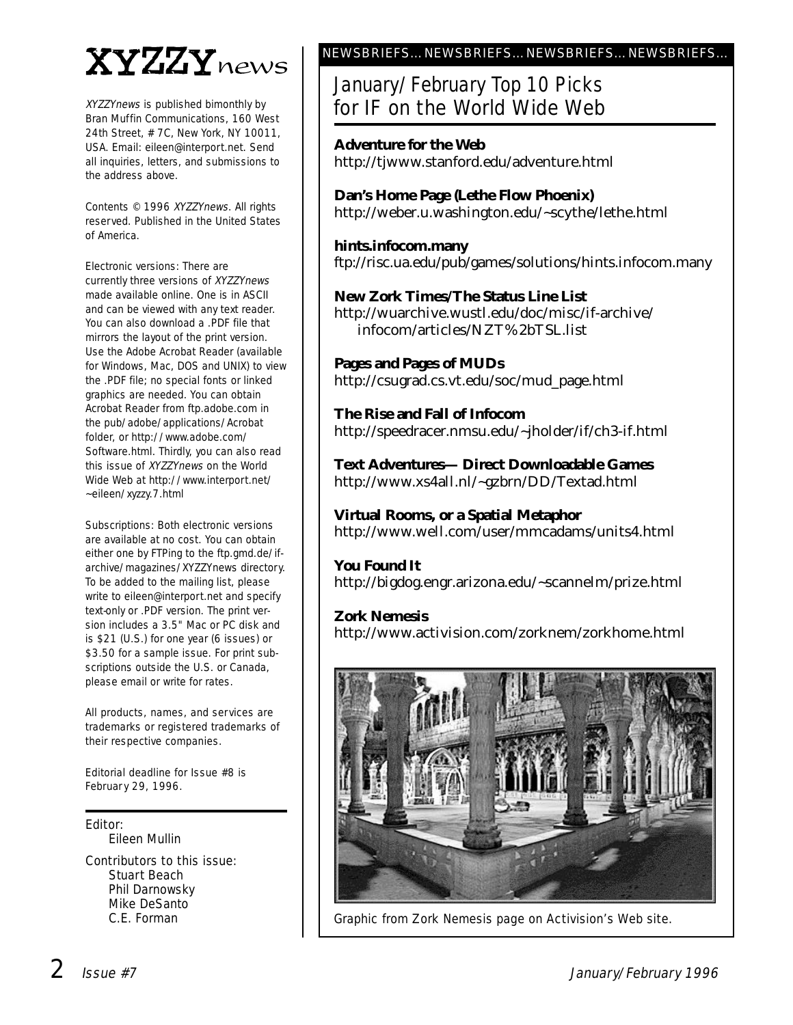# XYZZYnews

XYZZYnews is published bimonthly by Bran Muffin Communications, 160 West 24th Street, # 7C, New York, NY 10011, USA. Email: eileen@interport.net. Send all inquiries, letters, and submissions to the address above.

Contents © 1996 XYZZYnews. All rights reserved. Published in the United States of America.

Electronic versions: There are currently three versions of XYZZYnews made available online. One is in ASCII and can be viewed with any text reader. You can also download a .PDF file that mirrors the layout of the print version. Use the Adobe Acrobat Reader (available for Windows, Mac, DOS and UNIX) to view the .PDF file; no special fonts or linked graphics are needed. You can obtain Acrobat Reader from ftp.adobe.com in the pub/adobe/applications/Acrobat folder, or http://www.adobe.com/ Software.html. Thirdly, you can also read this issue of XYZZYnews on the World Wide Web at http://www.interport.net/ ~eileen/xyzzy.7.html

Subscriptions: Both electronic versions are available at no cost. You can obtain either one by FTPing to the ftp.gmd.de/ifarchive/magazines/XYZZYnews directory. To be added to the mailing list, please write to eileen@interport.net and specify text-only or .PDF version. The print version includes a 3.5" Mac or PC disk and is \$21 (U.S.) for one year (6 issues) or \$3.50 for a sample issue. For print subscriptions outside the U.S. or Canada, please email or write for rates.

All products, names, and ser vices are trademarks or registered trademarks of their respective companies.

Editorial deadline for Issue #8 is Februar y 29, 1996.

Editor:

Eileen Mullin

Contributors to this issue: Stuart Beach Phil Darnowsky Mike DeSanto C.E. Forman

#### NEWSBRIEFS…NEWSBRIEFS…NEWSBRIEFS…NEWSBRIEFS…

### January/February Top 10 Picks for IF on the World Wide Web

**Adventure for the Web** http://tjwww.stanford.edu/adventure.html

**Dan's Home Page (Lethe Flow Phoenix)** http://weber.u.washington.edu/~scythe/lethe.html

**hints.infocom.many** ftp://risc.ua.edu/pub/games/solutions/hints.infocom.many

#### **New Zork Times/The Status Line List**

http://wuarchive.wustl.edu/doc/misc/if-archive/ infocom/articles/NZT%2bTSL.list

**Pages and Pages of MUDs** http://csugrad.cs.vt.edu/soc/mud\_page.html

**The Rise and Fall of Infocom** http://speedracer.nmsu.edu/~jholder/if/ch3-if.html

**Text Adventures— Direct Downloadable Games** http://www.xs4all.nl/~gzbrn/DD/Textad.html

**Virtual Rooms, or a Spatial Metaphor** http://www.well.com/user/mmcadams/units4.html

#### **You Found It**

http://bigdog.engr.arizona.edu/~scannelm/prize.html

#### **Zork Nemesis**

http://www.activision.com/zorknem/zorkhome.html



Graphic from Zork Nemesis page on Activision's Web site.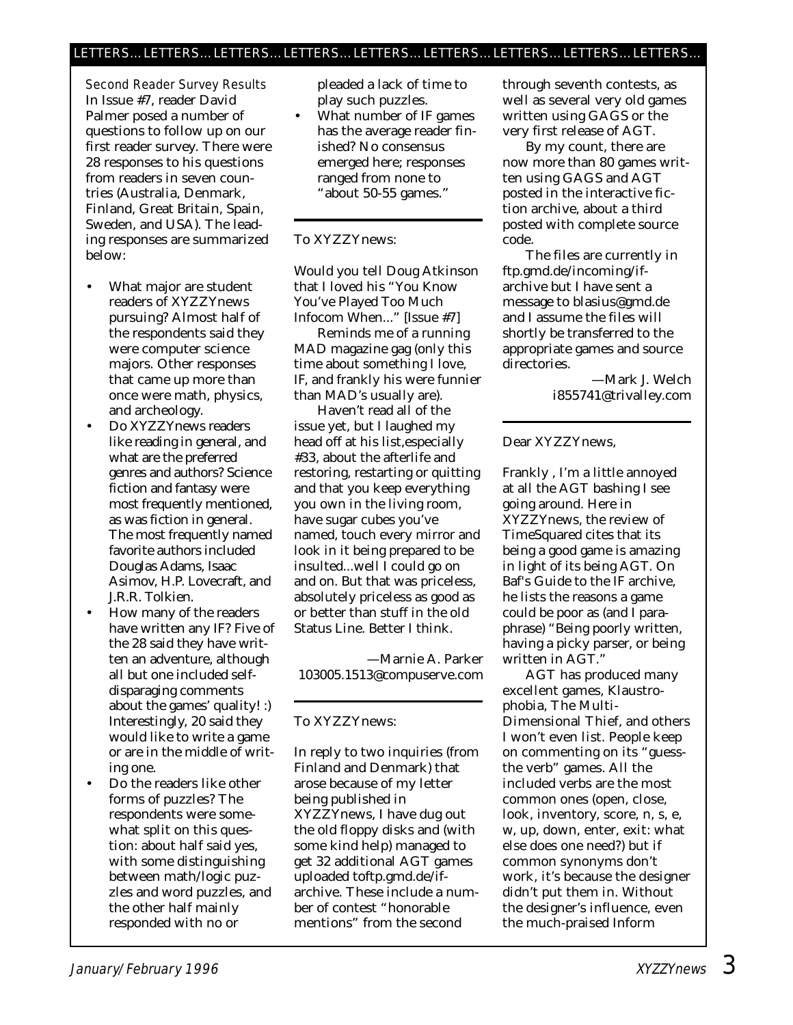Second Reader Survey Results In Issue #7, reader David Palmer posed a number of questions to follow up on our first reader survey. There were 28 responses to his questions from readers in seven countries (Australia, Denmark, Finland, Great Britain, Spain, Sweden, and USA). The leading responses are summarized below:

- What major are student readers of *XYZZYnews* pursuing? Almost half of the respondents said they were computer science majors. Other responses that came up more than once were math, physics, and archeology.
- Do *XYZZYnews* readers like reading in general, and what are the preferred genres and authors? Science fiction and fantasy were most frequently mentioned, as was fiction in general. The most frequently named favorite authors included Douglas Adams, Isaac Asimov, H.P. Lovecraft, and J.R.R. Tolkien.
- How many of the readers have written any IF? Five of the 28 said they have written an adventure, although all but one included selfdisparaging comments about the games' quality! :) Interestingly, 20 said they would like to write a game or are in the middle of writing one.
- Do the readers like other forms of puzzles? The respondents were somewhat split on this question: about half said yes, with some distinguishing between math/logic puzzles and word puzzles, and the other half mainly responded with no or

pleaded a lack of time to play such puzzles.

What number of IF games has the average reader finished? No consensus emerged here; responses ranged from none to "about 50-55 games."

#### To XYZZYnews:

Would you tell Doug Atkinson that I *loved* his "You Know You've Played Too Much Infocom When..." [Issue #7]

Reminds me of a running *MAD* magazine gag (only this time about something I love, IF, and frankly his were funnier than *MAD*'s usually are).

Haven't read all of the issue yet, but I laughed my head off at his list,especially #33, about the afterlife and restoring, restarting or quitting and that you keep everything you own in the living room, have sugar cubes you've named, touch every mirror and look in it being prepared to be insulted...well I could go on and on. But that was priceless, absolutely priceless as good as *or better* than stuff in the old Status Line. Better I think.

—Marnie A. Parker 103005.1513@compuserve.com

#### To XYZZYnews:

In reply to two inquiries (from Finland and Denmark) that arose because of my letter being published in *XYZZYnews,* I have dug out the old floppy disks and (with some kind help) managed to get 32 additional AGT games uploaded toftp.gmd.de/ifarchive. These include a number of contest "honorable mentions" from the second

through seventh contests, as well as several very old games written using GAGS or the very first release of AGT.

By my count, there are now more than 80 games written using GAGS and AGT posted in the interactive fiction archive, about a third posted with complete source code.

The files are currently in ftp.gmd.de/incoming/ifarchive but I have sent a message to blasius@gmd.de and I assume the files will shortly be transferred to the appropriate games and source directories.

—Mark J. Welch i855741@trivalley.com

#### Dear XYZZYnews,

Frankly , I'm a little annoyed at all the AGT bashing I see going around. Here in *XYZZYnews*, the review of TimeSquared cites that its being a good game is amazing in light of its being AGT. On Baf's Guide to the IF archive, he lists the reasons a game could be poor as (and I paraphrase) "Being poorly written, having a picky parser, or being written in AGT."

AGT has produced many excellent games, Klaustrophobia, The Multi-Dimensional Thief, and others I won't even list. People keep on commenting on its "guessthe verb" games. All the included verbs are the most common ones (open, close, look, inventory, score, n, s, e, w, up, down, enter, exit: what else does one need?) but if common synonyms don't work, it's because the *designer* didn't put them in. Without the designer's influence, even the much-praised Inform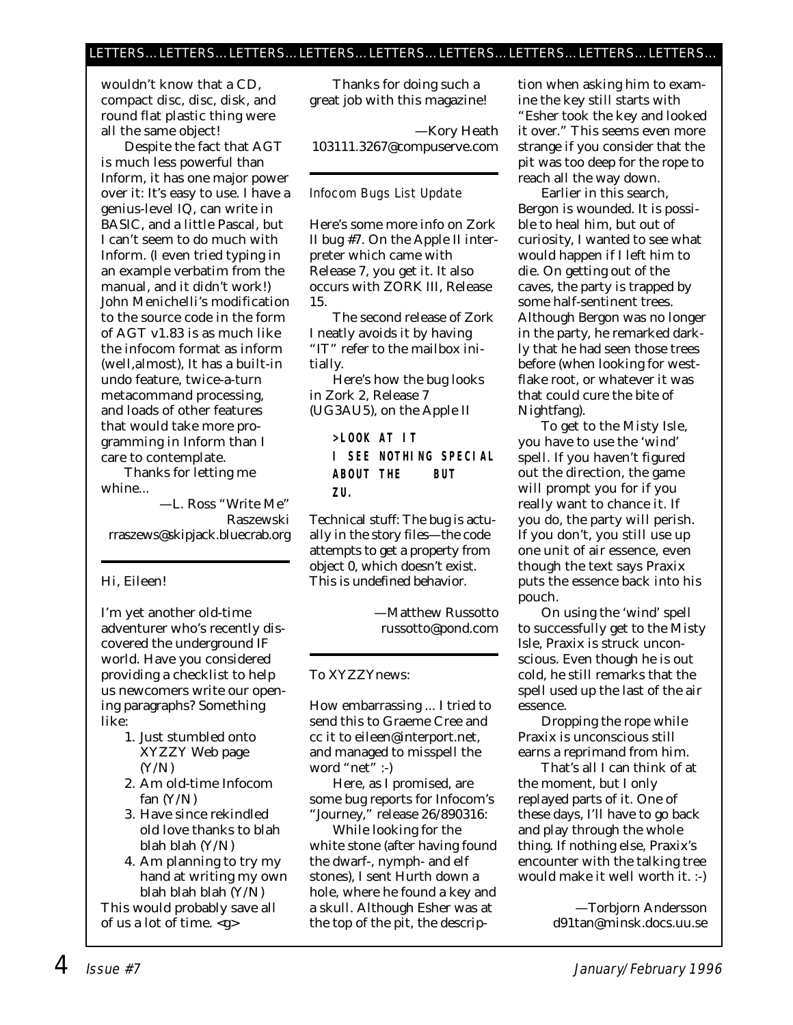wouldn't know that a CD, compact disc, disc, disk, and round flat plastic thing were all the same object!

Despite the fact that AGT is much less powerful than Inform, it has one major power over it: It's easy to use. I have a genius-level IQ, can write in BASIC, and a little Pascal, but I can't seem to do much with Inform. (I even tried typing in an example verbatim from the manual, and it didn't work!) John Menichelli's modification to the source code in the form of AGT v1.83 is as much like the infocom format as inform (well,almost), It has a built-in undo feature, twice-a-turn metacommand processing, and loads of other features that would take more programming in Inform than I care to contemplate.

Thanks for letting me whine...

—L. Ross "Write Me" Raszewski rraszews@skipjack.bluecrab.org

#### Hi, Eileen!

I'm yet another old-time adventurer who's recently discovered the underground IF world. Have you considered providing a checklist to help us newcomers write our opening paragraphs? Something like:

- 1. Just stumbled onto XYZZY Web page (Y/N)
- 2. Am old-time Infocom fan  $(Y/N)$
- 3. Have since rekindled old love thanks to blah blah blah (Y/N)
- 4. Am planning to try my hand at writing my own blah blah blah (Y/N)

This would probably save all of us a lot of time. <g>

Thanks for doing such a great job with this magazine!

—Kory Heath 103111.3267@compuserve.com

#### Infocom Bugs List Update

Here's some more info on Zork II bug #7. On the Apple II interpreter which came with Release 7, you get it. It also occurs with ZORK III, Release 15.

The second release of Zork I neatly avoids it by having "IT" refer to the mailbox initially.

Here's how the bug looks in Zork 2, Release 7 (UG3AU5), on the Apple II

> **>LOOK AT IT I SEE NOTHING SPECIAL ABOUT THE BUT ZU.**

Technical stuff: The bug is actually in the story files—the code attempts to get a property from object 0, which doesn't exist. This is undefined behavior.

> —Matthew Russotto russotto@pond.com

#### To XYZZYnews:

How embarrassing ... I tried to send this to Graeme Cree and cc it to eileen@interport.net, and managed to misspell the word "net" :-)

Here, as I promised, are some bug reports for Infocom's "Journey," release 26/890316:

While looking for the white stone (after having found the dwarf-, nymph- and elf stones), I sent Hurth down a hole, where he found a key and a skull. Although Esher was at the top of the pit, the description when asking him to examine the key still starts with "Esher took the key and looked it over." This seems even more strange if you consider that the pit was too deep for the rope to reach all the way down.

Earlier in this search, Bergon is wounded. It is possible to heal him, but out of curiosity, I wanted to see what would happen if I left him to die. On getting out of the caves, the party is trapped by some half-sentinent trees. Although Bergon was no longer in the party, he remarked darkly that he had seen those trees before (when looking for westflake root, or whatever it was that could cure the bite of Nightfang).

To get to the Misty Isle, you have to use the 'wind' spell. If you haven't figured out the direction, the game will prompt you for if you really want to chance it. If you do, the party will perish. If you don't, you still use up one unit of air essence, even though the text says Praxix puts the essence back into his pouch.

On using the 'wind' spell to successfully get to the Misty Isle, Praxix is struck unconscious. Even though he is out cold, he still remarks that the spell used up the last of the air essence.

Dropping the rope while Praxix is unconscious still earns a reprimand from him.

That's all I can think of at the moment, but I only replayed parts of it. One of these days, I'll have to go back and play through the whole thing. If nothing else, Praxix's encounter with the talking tree would make it well worth it. :-)

> —Torbjorn Andersson d91tan@minsk.docs.uu.se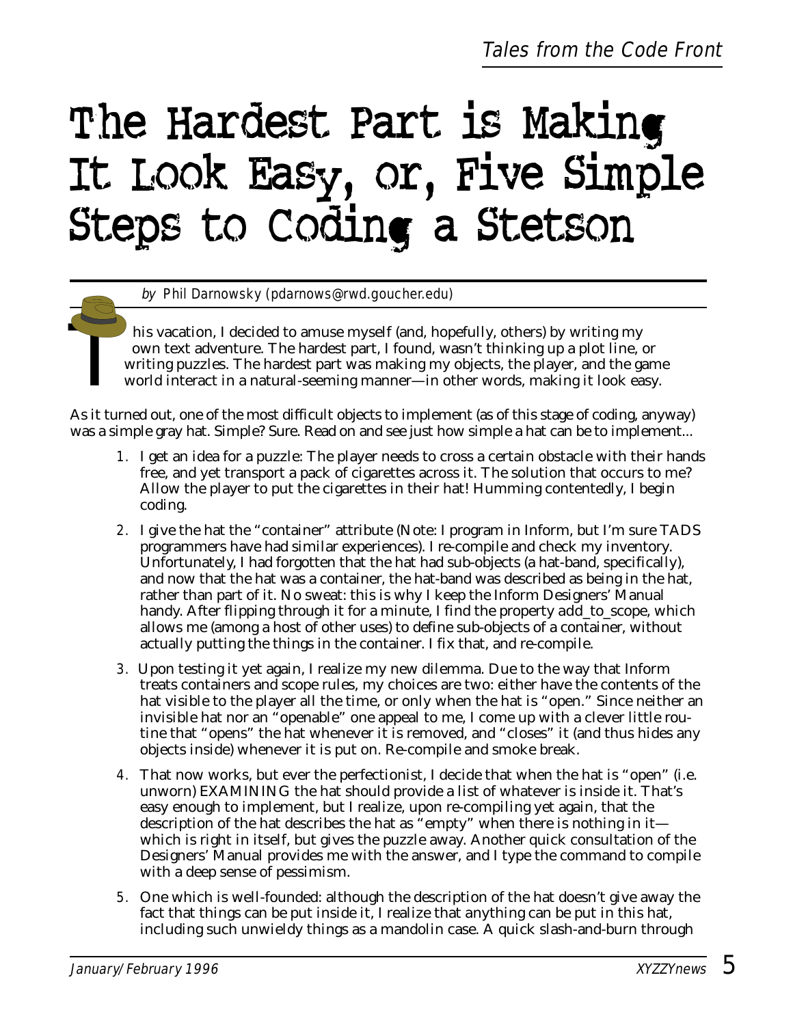# The Hardest Part is Making It Look Easy, or, Five Simple Steps to Coding a Stetson

by Phil Darnowsky (pdarnows@rwd.goucher.edu)

his vacation, I decided to amuse myself (and, hopefully, others) by writing my<br>own text adventure. The hardest part, I found, wasn't thinking up a plot line, c<br>writing puzzles. The hardest part was making my objects, the p own text adventure. The hardest part, I found, wasn't thinking up a plot line, or writing puzzles. The hardest part was making my objects, the player, and the game world interact in a natural-seeming manner—in other words, making it look easy.

As it turned out, one of the most difficult objects to implement (as of this stage of coding, anyway) was a simple gray hat. Simple? Sure. Read on and see just how simple a hat can be to implement...

- 1. I get an idea for a puzzle: The player needs to cross a certain obstacle with their hands free, and yet transport a pack of cigarettes across it. The solution that occurs to me? Allow the player to put the cigarettes in their hat! Humming contentedly, I begin coding.
- 2. I give the hat the "container" attribute (Note: I program in Inform, but I'm sure TADS programmers have had similar experiences). I re-compile and check my inventory. Unfortunately, I had forgotten that the hat had sub-objects (a hat-band, specifically), and now that the hat was a container, the hat-band was described as being in the hat, rather than part of it. No sweat: this is why I keep the Inform Designers' Manual handy. After flipping through it for a minute, I find the property *add\_to\_scope,* which allows me (among a host of other uses) to define sub-objects of a container, without actually putting the things in the container. I fix that, and re-compile.
- 3. Upon testing it yet again, I realize my new dilemma. Due to the way that Inform treats containers and scope rules, my choices are two: either have the contents of the hat visible to the player all the time, or only when the hat is "open." Since neither an invisible hat nor an "openable" one appeal to me, I come up with a clever little routine that "opens" the hat whenever it is removed, and "closes" it (and thus hides any objects inside) whenever it is put on. Re-compile and smoke break.
- 4. That now works, but ever the perfectionist, I decide that when the hat is "open" (i.e. unworn) EXAMINING the hat should provide a list of whatever is inside it. That's easy enough to implement, but I realize, upon re-compiling yet again, that the description of the hat describes the hat as "empty" when there is nothing in it which is right in itself, but gives the puzzle away. Another quick consultation of the Designers' Manual provides me with the answer, and I type the command to compile with a deep sense of pessimism.
- 5. One which is well-founded: although the description of the hat doesn't give away the fact that things can be put inside it, I realize that *anything* can be put in this hat, including such unwieldy things as a mandolin case. A quick slash-and-burn through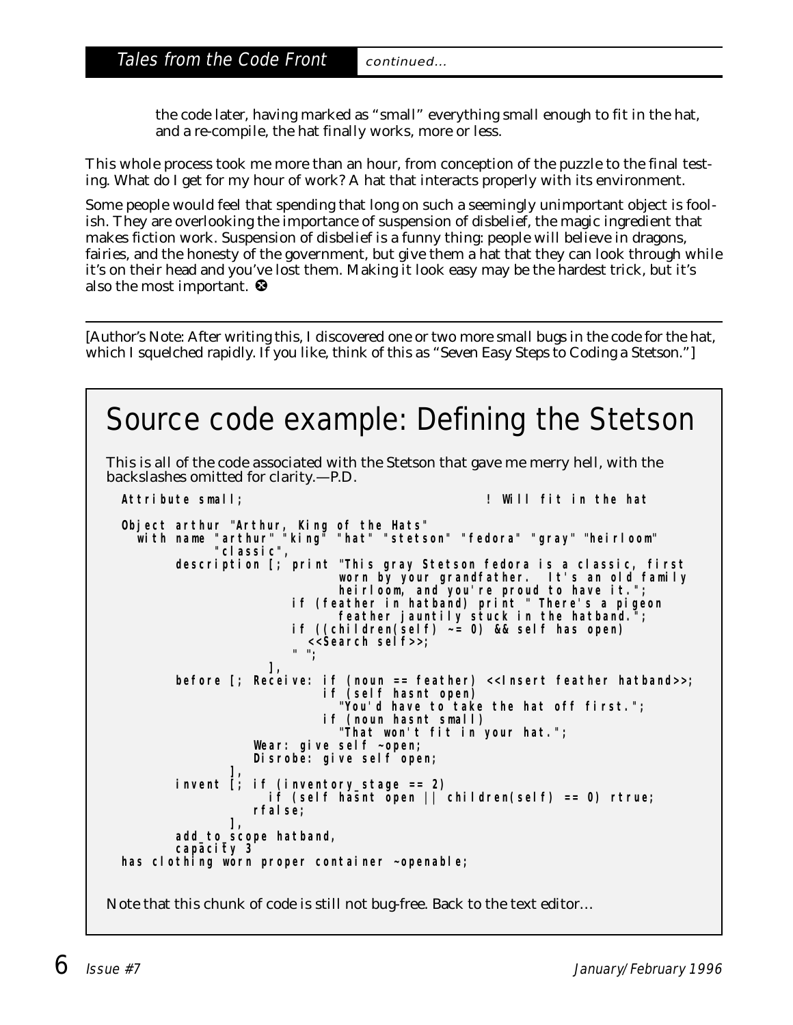the code later, having marked as "small" everything small enough to fit in the hat, and a re-compile, the hat finally works, more or less.

This whole process took me more than an hour, from conception of the puzzle to the final testing. What do I get for my hour of work? A hat that interacts properly with its environment.

Some people would feel that spending that long on such a seemingly unimportant object is foolish. They are overlooking the importance of suspension of disbelief, the magic ingredient that makes fiction work. Suspension of disbelief is a funny thing: people will believe in dragons, fairies, and the honesty of the government, but give them a hat that they can look through while it's on their head and you've lost them. Making it look easy may be the hardest trick, but it's also the most important.  $\bullet$ 

*[Author's Note: After writing this, I discovered one or two more small bugs in the code for the hat, which I squelched rapidly. If you like, think of this as "*Seven *Easy Steps to Coding a Stetson."]*

```
Source code example: Defining the Stetson
This is all of the code associated with the Stetson that gave me merry hell, with the
backslashes omitted for clarity.—P.D.
  Attribute small; ! Will fit in the hat
  Object arthur "Arthur, King of the Hats"
    with name "arthur" "king" "hat" "stetson" "fedora" "gray" "heirloom"
              "classic",
         description [; print "This gray Stetson fedora is a classic, first 
                              worn by your grandfather. It's an old family
                              heirloom, and you're proud to have it.";
                        if (feather in hatband) print " There's a pigeon
                              feather jauntily stuck in the hatband.";
                        if ((children(self) ~= 0) && self has open)
                          <<Search self>>;
                        " ";
                     ],
        before [; Receive: if (noun == feather) <<Insert feather hatband>>;
                           if (self hasnt open)
                              "You'd have to take the hat off first.";
                            if (noun hasnt small)
                              "That won't fit in your hat.";
                   Wear: give self ~open;
                   Disrobe: give self open;
                ],
        invent [; if (inventory_stage == 2)
                    i \hat{f} (self hasnt open |\hat{f}| children(self) == 0) rtrue;
                   rfalse;
                ],
         add_to_scope hatband,
         capacity 3
 has clothing worn proper container ~openable;
Note that this chunk of code is still not bug-free. Back to the text editor…
```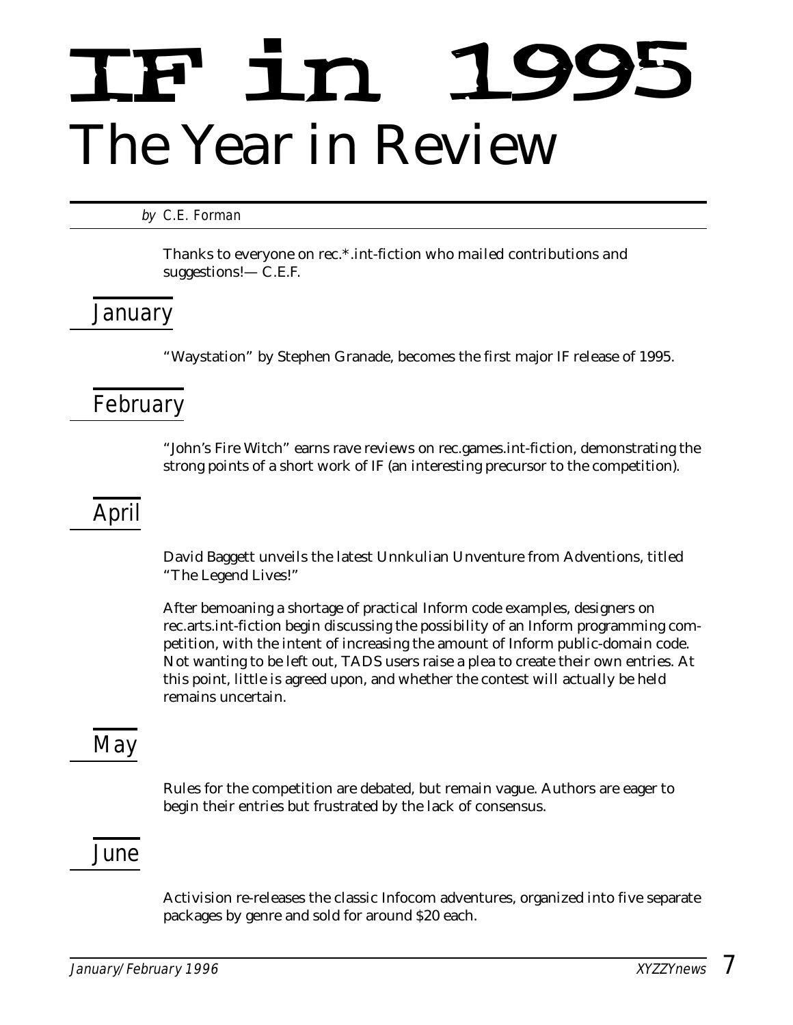# IF in 1995 *The Year in Review*

by C.E. Forman

*Thanks to everyone on rec.\*.int-fiction who mailed contributions and suggestions!— C.E.F.*

# January

"Waystation" by Stephen Granade, becomes the first major IF release of 1995.

# February

"John's Fire Witch" earns rave reviews on rec.games.int-fiction, demonstrating the strong points of a short work of IF (an interesting precursor to the competition).

# April

David Baggett unveils the latest Unnkulian Unventure from Adventions, titled "The Legend Lives!"

After bemoaning a shortage of practical Inform code examples, designers on rec.arts.int-fiction begin discussing the possibility of an Inform programming competition, with the intent of increasing the amount of Inform public-domain code. Not wanting to be left out, TADS users raise a plea to create their own entries. At this point, little is agreed upon, and whether the contest will actually be held remains uncertain.

# **May**

Rules for the competition are debated, but remain vague. Authors are eager to begin their entries but frustrated by the lack of consensus.

### June

Activision re-releases the classic Infocom adventures, organized into five separate packages by genre and sold for around \$20 each.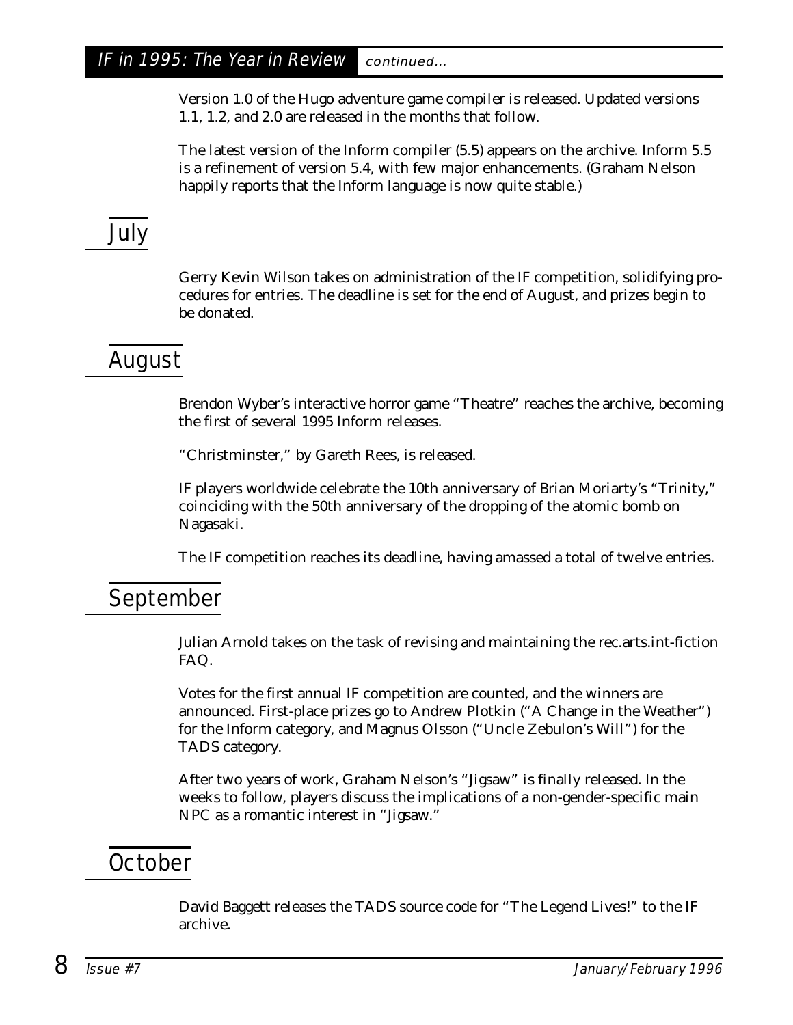Version 1.0 of the Hugo adventure game compiler is released. Updated versions 1.1, 1.2, and 2.0 are released in the months that follow.

The latest version of the Inform compiler (5.5) appears on the archive. Inform 5.5 is a refinement of version 5.4, with few major enhancements. (Graham Nelson happily reports that the Inform language is now quite stable.)

# July

Gerry Kevin Wilson takes on administration of the IF competition, solidifying procedures for entries. The deadline is set for the end of August, and prizes begin to be donated.

# August

Brendon Wyber's interactive horror game "Theatre" reaches the archive, becoming the first of several 1995 Inform releases.

"Christminster," by Gareth Rees, is released.

IF players worldwide celebrate the 10th anniversary of Brian Moriarty's "Trinity," coinciding with the 50th anniversary of the dropping of the atomic bomb on Nagasaki.

The IF competition reaches its deadline, having amassed a total of twelve entries.

# September

Julian Arnold takes on the task of revising and maintaining the rec.arts.int-fiction FAQ.

Votes for the first annual IF competition are counted, and the winners are announced. First-place prizes go to Andrew Plotkin ("A Change in the Weather") for the Inform category, and Magnus Olsson ("Uncle Zebulon's Will") for the TADS category.

After two years of work, Graham Nelson's "Jigsaw" is finally released. In the weeks to follow, players discuss the implications of a non-gender-specific main NPC as a romantic interest in "Jigsaw."

# **October**

David Baggett releases the TADS source code for "The Legend Lives!" to the IF archive.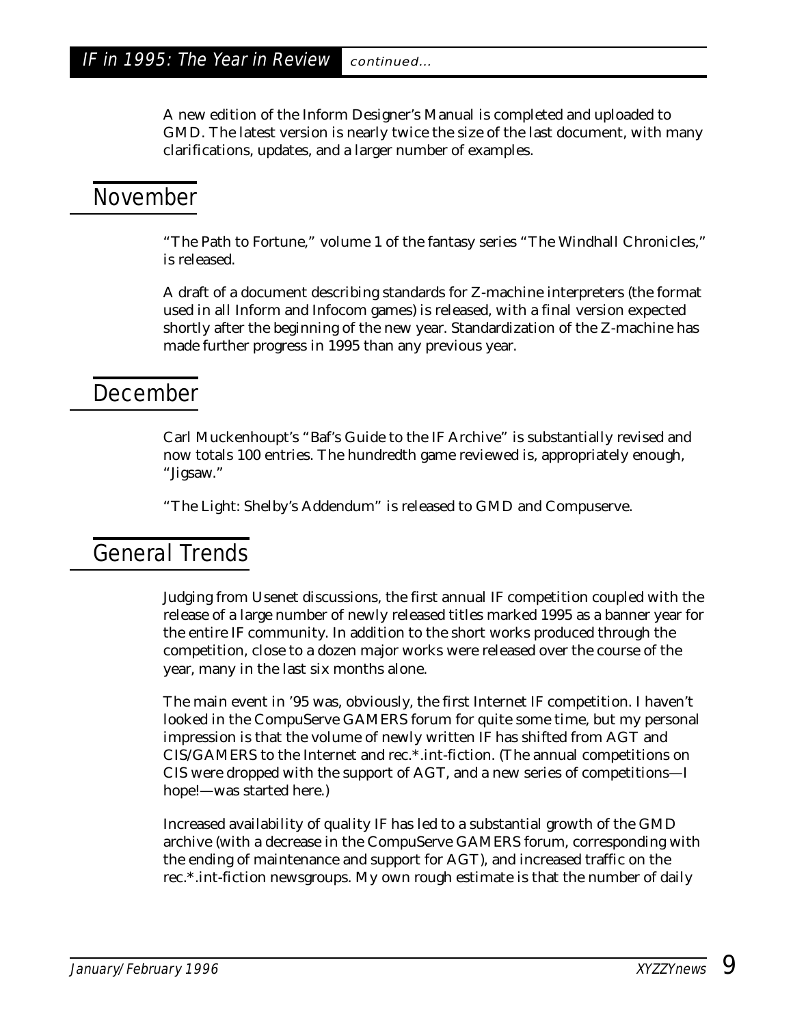A new edition of the Inform Designer's Manual is completed and uploaded to GMD. The latest version is nearly twice the size of the last document, with many clarifications, updates, and a larger number of examples.

#### November

"The Path to Fortune," volume 1 of the fantasy series "The Windhall Chronicles," is released.

A draft of a document describing standards for Z-machine interpreters (the format used in all Inform and Infocom games) is released, with a final version expected shortly after the beginning of the new year. Standardization of the Z-machine has made further progress in 1995 than any previous year.

#### **December**

Carl Muckenhoupt's "Baf's Guide to the IF Archive" is substantially revised and now totals 100 entries. The hundredth game reviewed is, appropriately enough, "Jigsaw."

"The Light: Shelby's Addendum" is released to GMD and Compuserve.

# General Trends

Judging from Usenet discussions, the first annual IF competition coupled with the release of a large number of newly released titles marked 1995 as a banner year for the entire IF community. In addition to the short works produced through the competition, close to a dozen major works were released over the course of the year, many in the last six months alone.

The main event in '95 was, obviously, the first Internet IF competition. I haven't looked in the CompuServe GAMERS forum for quite some time, but my personal impression is that the volume of newly written IF has shifted from AGT and CIS/GAMERS to the Internet and rec.\*.int-fiction. (The annual competitions on CIS were dropped with the support of AGT, and a new series of competitions—I hope!—was started here.)

Increased availability of quality IF has led to a substantial growth of the GMD archive (with a decrease in the CompuServe GAMERS forum, corresponding with the ending of maintenance and support for AGT), and increased traffic on the rec.\*.int-fiction newsgroups. My own rough estimate is that the number of daily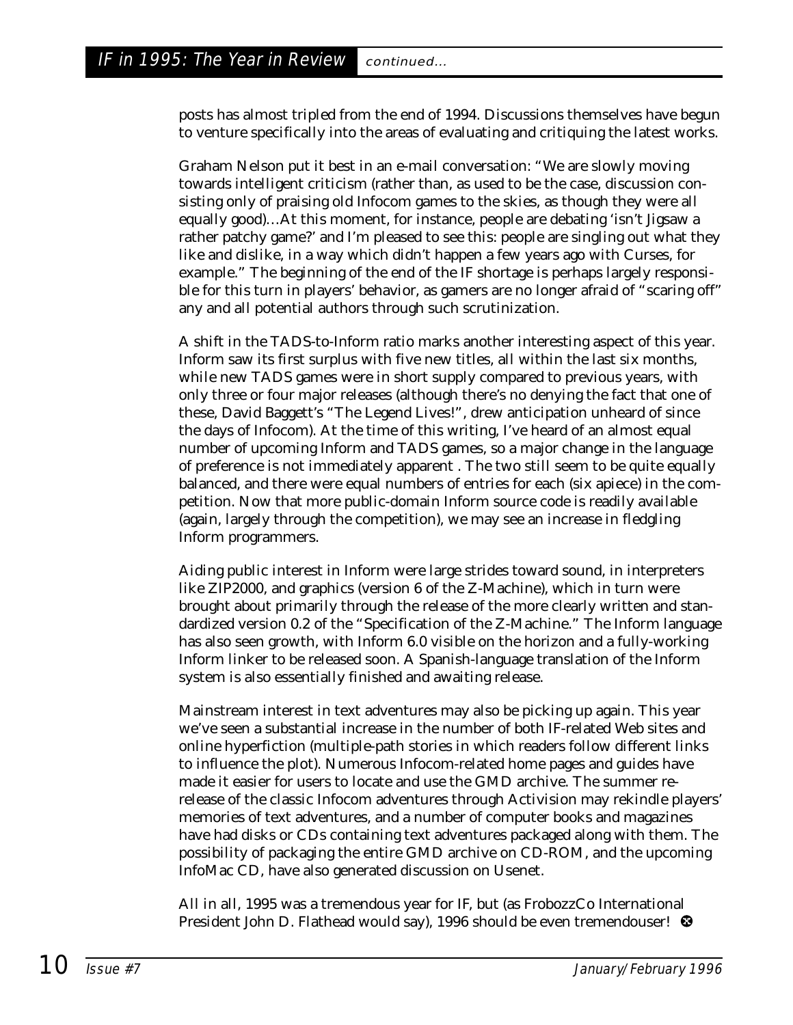posts has almost tripled from the end of 1994. Discussions themselves have begun to venture specifically into the areas of evaluating and critiquing the latest works.

Graham Nelson put it best in an e-mail conversation: "We are slowly moving towards intelligent criticism (rather than, as used to be the case, discussion consisting only of praising old Infocom games to the skies, as though they were all equally good)…At this moment, for instance, people are debating 'isn't Jigsaw a rather patchy game?' and I'm pleased to see this: people are singling out what they like and dislike, in a way which didn't happen a few years ago with Curses, for example." The beginning of the end of the IF shortage is perhaps largely responsible for this turn in players' behavior, as gamers are no longer afraid of "scaring off" any and all potential authors through such scrutinization.

A shift in the TADS-to-Inform ratio marks another interesting aspect of this year. Inform saw its first surplus with five new titles, all within the last six months, while new TADS games were in short supply compared to previous years, with only three or four major releases (although there's no denying the fact that one of these, David Baggett's "The Legend Lives!", drew anticipation unheard of since the days of Infocom). At the time of this writing, I've heard of an almost equal number of upcoming Inform and TADS games, so a major change in the language of preference is not immediately apparent . The two still seem to be quite equally balanced, and there were equal numbers of entries for each (six apiece) in the competition. Now that more public-domain Inform source code is readily available (again, largely through the competition), we may see an increase in fledgling Inform programmers.

Aiding public interest in Inform were large strides toward sound, in interpreters like ZIP2000, and graphics (version 6 of the Z-Machine), which in turn were brought about primarily through the release of the more clearly written and standardized version 0.2 of the "Specification of the Z-Machine." The Inform language has also seen growth, with Inform 6.0 visible on the horizon and a fully-working Inform linker to be released soon. A Spanish-language translation of the Inform system is also essentially finished and awaiting release.

Mainstream interest in text adventures may also be picking up again. This year we've seen a substantial increase in the number of both IF-related Web sites and online hyperfiction (multiple-path stories in which readers follow different links to influence the plot). Numerous Infocom-related home pages and guides have made it easier for users to locate and use the GMD archive. The summer rerelease of the classic Infocom adventures through Activision may rekindle players' memories of text adventures, and a number of computer books and magazines have had disks or CDs containing text adventures packaged along with them. The possibility of packaging the entire GMD archive on CD-ROM, and the upcoming InfoMac CD, have also generated discussion on Usenet.

All in all, 1995 was a tremendous year for IF, but (as FrobozzCo International President John D. Flathead would say), 1996 should be even tremendouser!  $\bullet$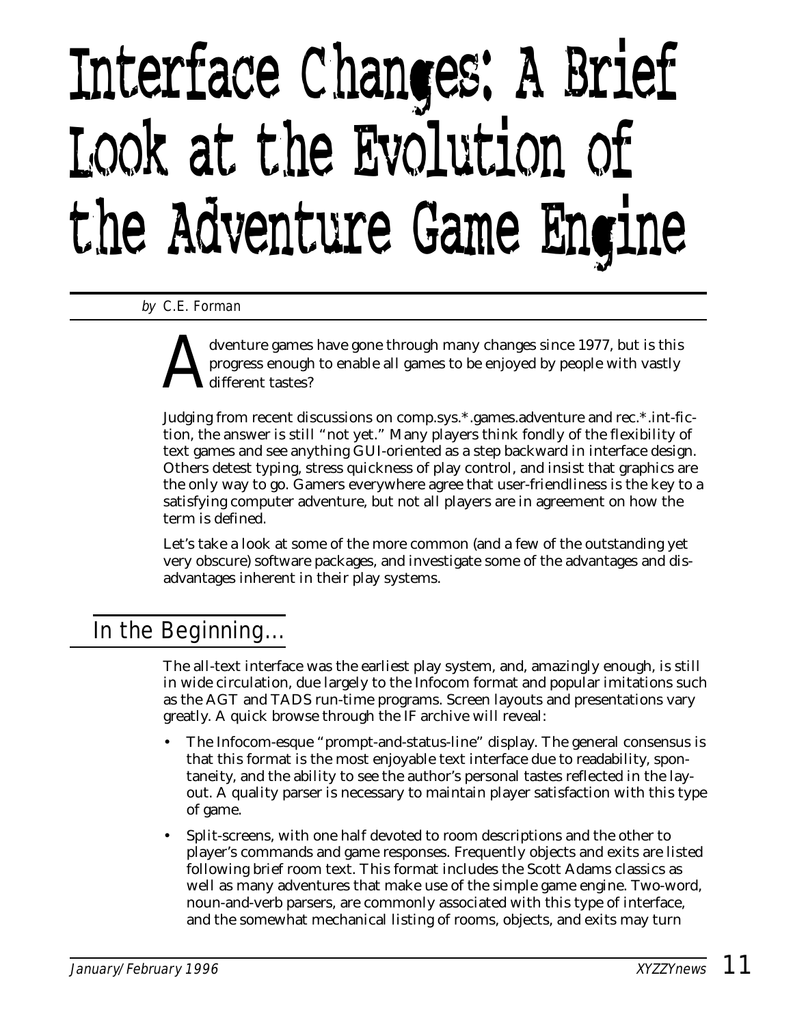# Interface Changes: A Brief Look at the Evolution of the Adventure Game Engine

by C.E. Forman

dventure games have gone through many changes since 1977, but is this progress enough to enable all games to be enjoyed by people with vastly different tastes?

Judging from recent discussions on comp.sys.\*.games.adventure and rec.\*.int-fiction, the answer is still "not yet." Many players think fondly of the flexibility of text games and see anything GUI-oriented as a step backward in interface design. Others detest typing, stress quickness of play control, and insist that graphics are the only way to go. Gamers everywhere agree that user-friendliness is the key to a satisfying computer adventure, but not all players are in agreement on how the term is defined.

Let's take a look at some of the more common (and a few of the outstanding yet very obscure) software packages, and investigate some of the advantages and disadvantages inherent in their play systems.

# In the Beginning...

The all-text interface was the earliest play system, and, amazingly enough, is still in wide circulation, due largely to the Infocom format and popular imitations such as the AGT and TADS run-time programs. Screen layouts and presentations vary greatly. A quick browse through the IF archive will reveal:

- The Infocom-esque "prompt-and-status-line" display. The general consensus is that this format is the most enjoyable text interface due to readability, spontaneity, and the ability to see the author's personal tastes reflected in the layout. A quality parser is necessary to maintain player satisfaction with this type of game.
- Split-screens, with one half devoted to room descriptions and the other to player's commands and game responses. Frequently objects and exits are listed following brief room text. This format includes the Scott Adams classics as well as many adventures that make use of the simple game engine. Two-word, noun-and-verb parsers, are commonly associated with this type of interface, and the somewhat mechanical listing of rooms, objects, and exits may turn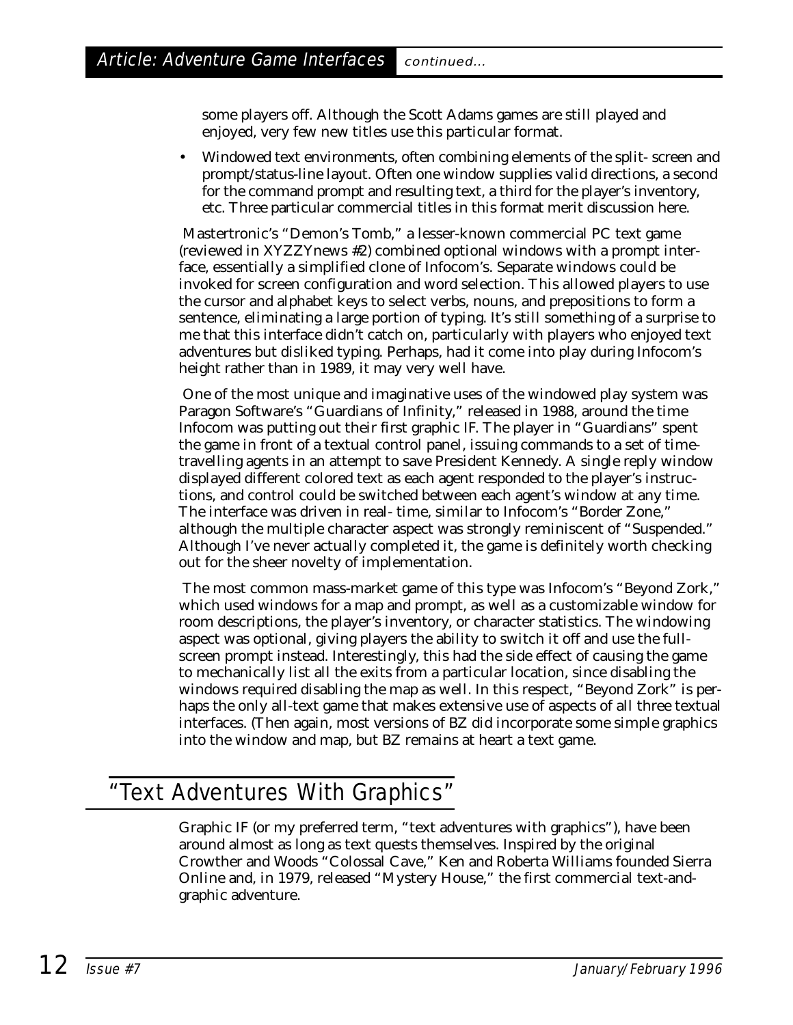some players off. Although the Scott Adams games are still played and enjoyed, very few new titles use this particular format.

• Windowed text environments, often combining elements of the split- screen and prompt/status-line layout. Often one window supplies valid directions, a second for the command prompt and resulting text, a third for the player's inventory, etc. Three particular commercial titles in this format merit discussion here.

Mastertronic's "Demon's Tomb," a lesser-known commercial PC text game (reviewed in *XYZZYnews* #2) combined optional windows with a prompt interface, essentially a simplified clone of Infocom's. Separate windows could be invoked for screen configuration and word selection. This allowed players to use the cursor and alphabet keys to select verbs, nouns, and prepositions to form a sentence, eliminating a large portion of typing. It's still something of a surprise to me that this interface didn't catch on, particularly with players who enjoyed text adventures but disliked typing. Perhaps, had it come into play during Infocom's height rather than in 1989, it may very well have.

One of the most unique and imaginative uses of the windowed play system was Paragon Software's "Guardians of Infinity," released in 1988, around the time Infocom was putting out their first graphic IF. The player in "Guardians" spent the game in front of a textual control panel, issuing commands to a set of timetravelling agents in an attempt to save President Kennedy. A single reply window displayed different colored text as each agent responded to the player's instructions, and control could be switched between each agent's window at any time. The interface was driven in real- time, similar to Infocom's "Border Zone," although the multiple character aspect was strongly reminiscent of "Suspended." Although I've never actually completed it, the game is definitely worth checking out for the sheer novelty of implementation.

The most common mass-market game of this type was Infocom's "Beyond Zork," which used windows for a map and prompt, as well as a customizable window for room descriptions, the player's inventory, or character statistics. The windowing aspect was optional, giving players the ability to switch it off and use the fullscreen prompt instead. Interestingly, this had the side effect of causing the game to mechanically list all the exits from a particular location, since disabling the windows required disabling the map as well. In this respect, "Beyond Zork" is perhaps the only all-text game that makes extensive use of aspects of all three textual interfaces. (Then again, most versions of BZ did incorporate some simple graphics into the window and map, but BZ remains at heart a text game.

# "Text Adventures With Graphics"

Graphic IF (or my preferred term, "text adventures with graphics"), have been around almost as long as text quests themselves. Inspired by the original Crowther and Woods "Colossal Cave," Ken and Roberta Williams founded Sierra Online and, in 1979, released "Mystery House," the first commercial text-andgraphic adventure.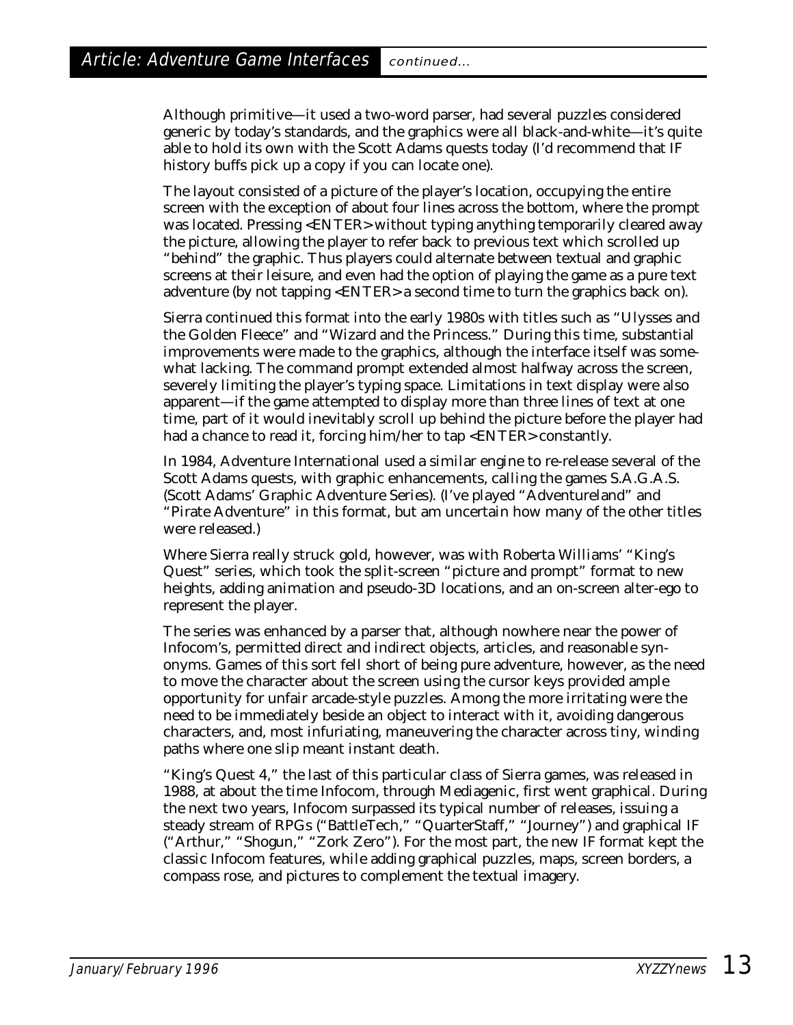Although primitive—it used a two-word parser, had several puzzles considered generic by today's standards, and the graphics were all black-and-white—it's quite able to hold its own with the Scott Adams quests today (I'd recommend that IF history buffs pick up a copy if you can locate one).

The layout consisted of a picture of the player's location, occupying the entire screen with the exception of about four lines across the bottom, where the prompt was located. Pressing <ENTER> without typing anything temporarily cleared away the picture, allowing the player to refer back to previous text which scrolled up "behind" the graphic. Thus players could alternate between textual and graphic screens at their leisure, and even had the option of playing the game as a pure text adventure (by not tapping <ENTER> a second time to turn the graphics back on).

Sierra continued this format into the early 1980s with titles such as "Ulysses and the Golden Fleece" and "Wizard and the Princess." During this time, substantial improvements were made to the graphics, although the interface itself was somewhat lacking. The command prompt extended almost halfway across the screen, severely limiting the player's typing space. Limitations in text display were also apparent—if the game attempted to display more than three lines of text at one time, part of it would inevitably scroll up behind the picture before the player had had a chance to read it, forcing him/her to tap <ENTER> constantly.

In 1984, Adventure International used a similar engine to re-release several of the Scott Adams quests, with graphic enhancements, calling the games S.A.G.A.S. (Scott Adams' Graphic Adventure Series). (I've played "Adventureland" and "Pirate Adventure" in this format, but am uncertain how many of the other titles were released.)

Where Sierra really struck gold, however, was with Roberta Williams' "King's Quest" series, which took the split-screen "picture and prompt" format to new heights, adding animation and pseudo-3D locations, and an on-screen alter-ego to represent the player.

The series was enhanced by a parser that, although nowhere near the power of Infocom's, permitted direct and indirect objects, articles, and reasonable synonyms. Games of this sort fell short of being pure adventure, however, as the need to move the character about the screen using the cursor keys provided ample opportunity for unfair arcade-style puzzles. Among the more irritating were the need to be immediately beside an object to interact with it, avoiding dangerous characters, and, most infuriating, maneuvering the character across tiny, winding paths where one slip meant instant death.

"King's Quest 4," the last of this particular class of Sierra games, was released in 1988, at about the time Infocom, through Mediagenic, first went graphical. During the next two years, Infocom surpassed its typical number of releases, issuing a steady stream of RPGs ("BattleTech," "QuarterStaff," "Journey") and graphical IF ("Arthur," "Shogun," "Zork Zero"). For the most part, the new IF format kept the classic Infocom features, while adding graphical puzzles, maps, screen borders, a compass rose, and pictures to complement the textual imagery.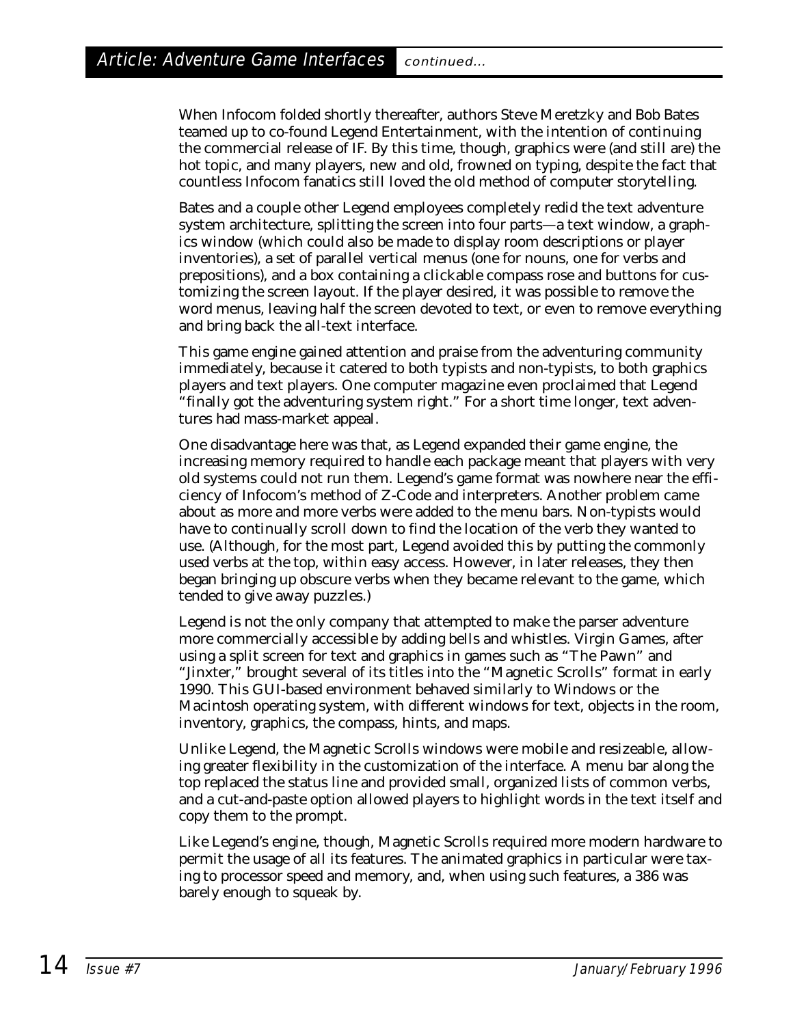When Infocom folded shortly thereafter, authors Steve Meretzky and Bob Bates teamed up to co-found Legend Entertainment, with the intention of continuing the commercial release of IF. By this time, though, graphics were (and still are) the hot topic, and many players, new and old, frowned on typing, despite the fact that countless Infocom fanatics still loved the old method of computer storytelling.

Bates and a couple other Legend employees completely redid the text adventure system architecture, splitting the screen into four parts—a text window, a graphics window (which could also be made to display room descriptions or player inventories), a set of parallel vertical menus (one for nouns, one for verbs and prepositions), and a box containing a clickable compass rose and buttons for customizing the screen layout. If the player desired, it was possible to remove the word menus, leaving half the screen devoted to text, or even to remove everything and bring back the all-text interface.

This game engine gained attention and praise from the adventuring community immediately, because it catered to both typists and non-typists, to both graphics players and text players. One computer magazine even proclaimed that Legend "finally got the adventuring system right." For a short time longer, text adventures had mass-market appeal.

One disadvantage here was that, as Legend expanded their game engine, the increasing memory required to handle each package meant that players with very old systems could not run them. Legend's game format was nowhere near the efficiency of Infocom's method of Z-Code and interpreters. Another problem came about as more and more verbs were added to the menu bars. Non-typists would have to continually scroll down to find the location of the verb they wanted to use. (Although, for the most part, Legend avoided this by putting the commonly used verbs at the top, within easy access. However, in later releases, they then began bringing up obscure verbs when they became relevant to the game, which tended to give away puzzles.)

Legend is not the only company that attempted to make the parser adventure more commercially accessible by adding bells and whistles. Virgin Games, after using a split screen for text and graphics in games such as "The Pawn" and "Jinxter," brought several of its titles into the "Magnetic Scrolls" format in early 1990. This GUI-based environment behaved similarly to Windows or the Macintosh operating system, with different windows for text, objects in the room, inventory, graphics, the compass, hints, and maps.

Unlike Legend, the Magnetic Scrolls windows were mobile and resizeable, allowing greater flexibility in the customization of the interface. A menu bar along the top replaced the status line and provided small, organized lists of common verbs, and a cut-and-paste option allowed players to highlight words in the text itself and copy them to the prompt.

Like Legend's engine, though, Magnetic Scrolls required more modern hardware to permit the usage of all its features. The animated graphics in particular were taxing to processor speed and memory, and, when using such features, a 386 was barely enough to squeak by.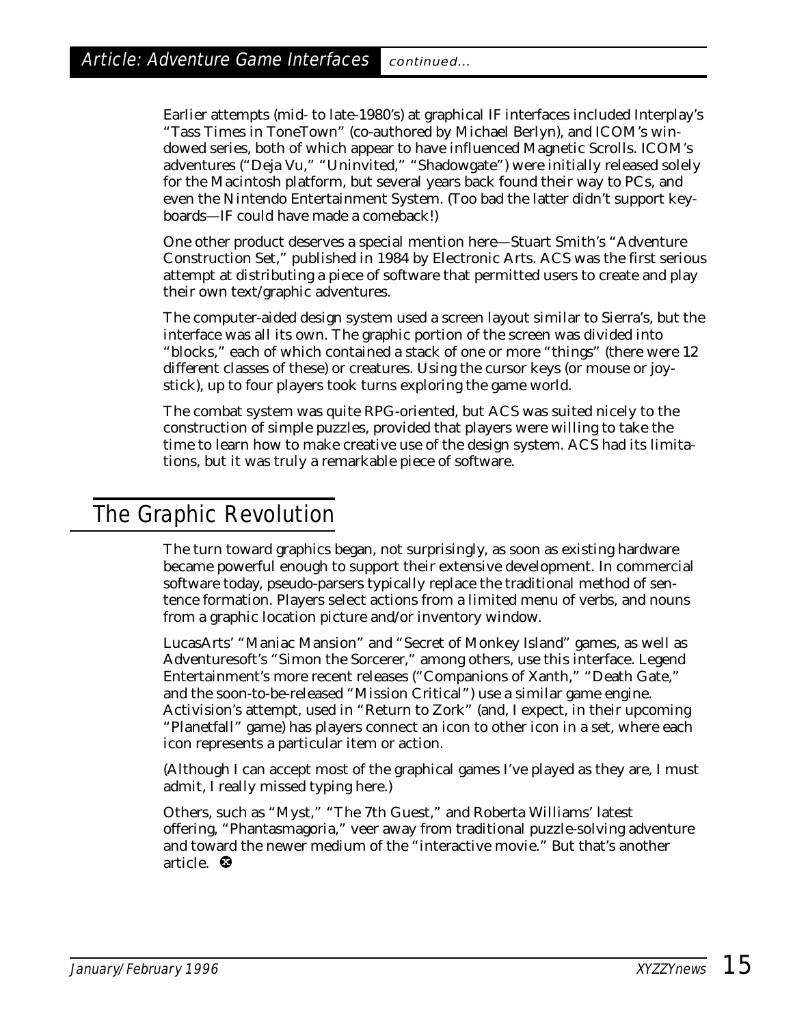Earlier attempts (mid- to late-1980's) at graphical IF interfaces included Interplay's "Tass Times in ToneTown" (co-authored by Michael Berlyn), and ICOM's windowed series, both of which appear to have influenced Magnetic Scrolls. ICOM's adventures ("Deja Vu," "Uninvited," "Shadowgate") were initially released solely for the Macintosh platform, but several years back found their way to PCs, and even the Nintendo Entertainment System. (Too bad the latter didn't support keyboards—IF could have made a comeback!)

One other product deserves a special mention here—Stuart Smith's "Adventure Construction Set," published in 1984 by Electronic Arts. ACS was the first serious attempt at distributing a piece of software that permitted users to create and play their own text/graphic adventures.

The computer-aided design system used a screen layout similar to Sierra's, but the interface was all its own. The graphic portion of the screen was divided into "blocks," each of which contained a stack of one or more "things" (there were 12 different classes of these) or creatures. Using the cursor keys (or mouse or joystick), up to four players took turns exploring the game world.

The combat system was quite RPG-oriented, but ACS was suited nicely to the construction of simple puzzles, provided that players were willing to take the time to learn how to make creative use of the design system. ACS had its limitations, but it was truly a remarkable piece of software.

# The Graphic Revolution

The turn toward graphics began, not surprisingly, as soon as existing hardware became powerful enough to support their extensive development. In commercial software today, pseudo-parsers typically replace the traditional method of sentence formation. Players select actions from a limited menu of verbs, and nouns from a graphic location picture and/or inventory window.

LucasArts' "Maniac Mansion" and "Secret of Monkey Island" games, as well as Adventuresoft's "Simon the Sorcerer," among others, use this interface. Legend Entertainment's more recent releases ("Companions of Xanth," "Death Gate," and the soon-to-be-released "Mission Critical") use a similar game engine. Activision's attempt, used in "Return to Zork" (and, I expect, in their upcoming "Planetfall" game) has players connect an icon to other icon in a set, where each icon represents a particular item or action.

(Although I can accept most of the graphical games I've played as they are, I must admit, I really missed typing here.)

Others, such as "Myst," "The 7th Guest," and Roberta Williams' latest offering, "Phantasmagoria," veer away from traditional puzzle-solving adventure and toward the newer medium of the "interactive movie." But that's another article. <sup>®</sup>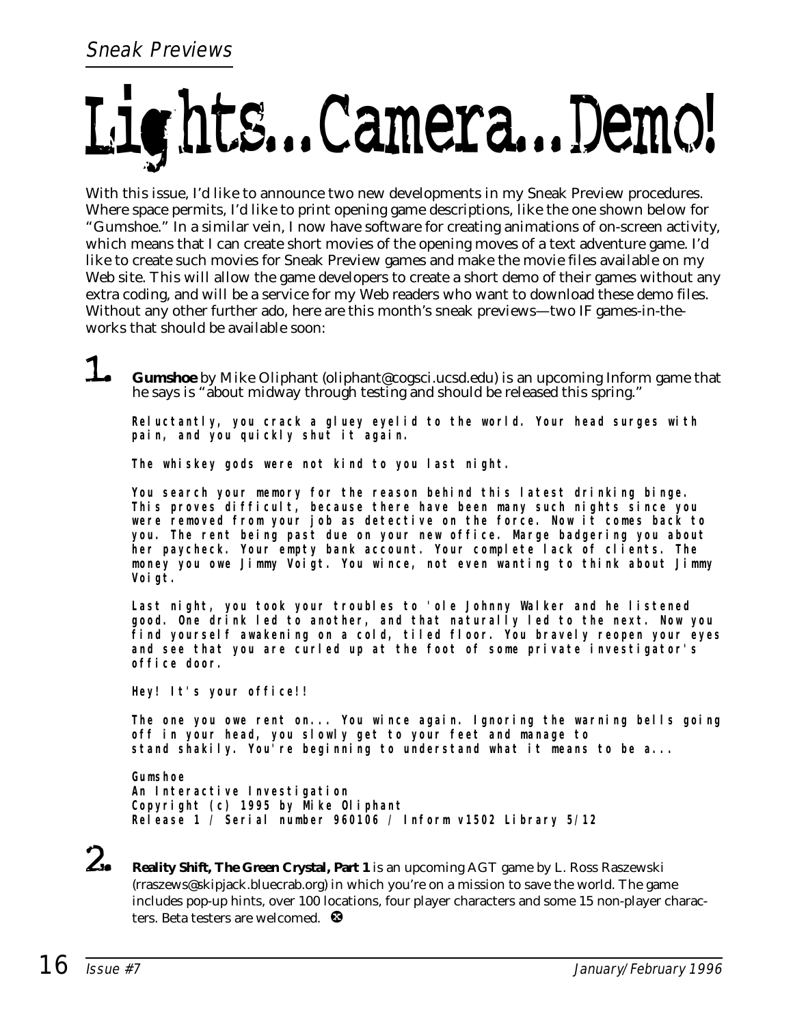# Lights...Camera...Demo!

With this issue, I'd like to announce two new developments in my Sneak Preview procedures. Where space permits, I'd like to print opening game descriptions, like the one shown below for "Gumshoe." In a similar vein, I now have software for creating animations of on-screen activity, which means that I can create short movies of the opening moves of a text adventure game. I'd like to create such movies for Sneak Preview games and make the movie files available on my Web site. This will allow the game developers to create a short demo of their games without any extra coding, and will be a service for my Web readers who want to download these demo files. Without any other further ado, here are this month's sneak previews—two IF games-in-theworks that should be available soon:

1. **Gumshoe** by Mike Oliphant (oliphant@cogsci.ucsd.edu) is an upcoming Inform game that he says is "about midway through testing and should be released this spring."

**Reluctantly, you crack a gluey eyelid to the world. Your head surges with pain, and you quickly shut it again.**

**The whiskey gods were not kind to you last night.**

**You search your memory for the reason behind this latest drinking binge. This proves difficult, because there have been many such nights since you were removed from your job as detective on the force. Now it comes back to you. The rent being past due on your new office. Marge badgering you about her paycheck. Your empty bank account. Your complete lack of clients. The money you owe Jimmy Voigt. You wince, not even wanting to think about Jimmy Voigt.**

**Last night, you took your troubles to 'ole Johnny Walker and he listened good. One drink led to another, and that naturally led to the next. Now you find yourself awakening on a cold, tiled floor. You bravely reopen your eyes and see that you are curled up at the foot of some private investigator's office door.**

**Hey! It's your office!!**

**The one you owe rent on... You wince again. Ignoring the warning bells going off in your head, you slowly get to your feet and manage to stand shakily. You're beginning to understand what it means to be a...**

**Gumshoe An Interactive Investigation Copyright (c) 1995 by Mike Oliphant Release 1 / Serial number 960106 / Inform v1502 Library 5/12**

2. **Reality Shift, The Green Crystal, Part 1** is an upcoming AGT game by L. Ross Raszewski (rraszews@skipjack.bluecrab.org) in which you're on a mission to save the world. The game includes pop-up hints, over 100 locations, four player characters and some 15 non-player characters. Beta testers are welcomed.  $\bullet$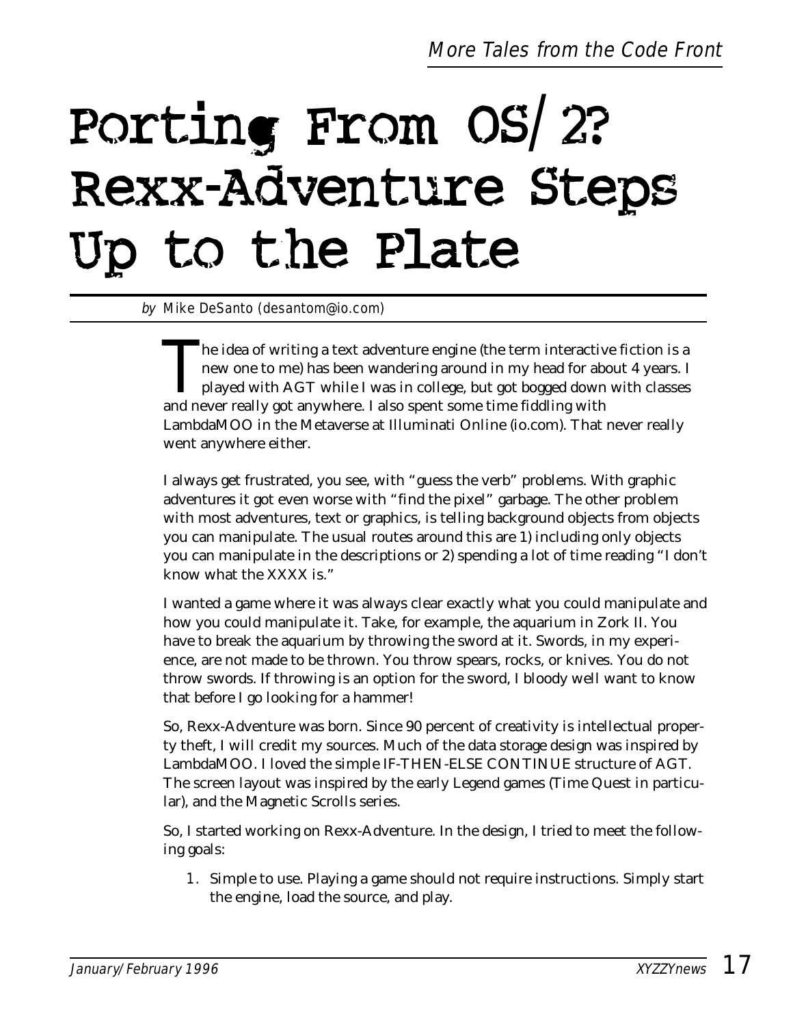# Porting From OS/2? Rexx-Adventure Steps Up to the Plate

by Mike DeSanto (desantom@io.com)

The idea of writing a text adventure engine (the term interactive fiction is a<br>new one to me) has been wandering around in my head for about 4 years. I<br>played with AGT while I was in college, but got bogged down with class new one to me) has been wandering around in my head for about 4 years. I played with AGT while I was in college, but got bogged down with classes and never really got anywhere. I also spent some time fiddling with LambdaMOO in the Metaverse at Illuminati Online (io.com). That never really went anywhere either.

I always get frustrated, you see, with "guess the verb" problems. With graphic adventures it got even worse with "find the pixel" garbage. The other problem with most adventures, text or graphics, is telling background objects from objects you can manipulate. The usual routes around this are 1) including only objects you can manipulate in the descriptions or 2) spending a lot of time reading "I don't know what the XXXX is."

I wanted a game where it was always clear exactly what you could manipulate and how you could manipulate it. Take, for example, the aquarium in Zork II. You have to break the aquarium by throwing the sword at it. Swords, in my experience, are not made to be thrown. You throw spears, rocks, or knives. You do not throw swords. If throwing is an option for the sword, I bloody well want to know that before I go looking for a hammer!

So, Rexx-Adventure was born. Since 90 percent of creativity is intellectual property theft, I will credit my sources. Much of the data storage design was inspired by LambdaMOO. I loved the simple IF-THEN-ELSE CONTINUE structure of AGT. The screen layout was inspired by the early Legend games (Time Quest in particular), and the Magnetic Scrolls series.

So, I started working on Rexx-Adventure. In the design, I tried to meet the following goals:

1. Simple to use. Playing a game should not require instructions. Simply start the engine, load the source, and play.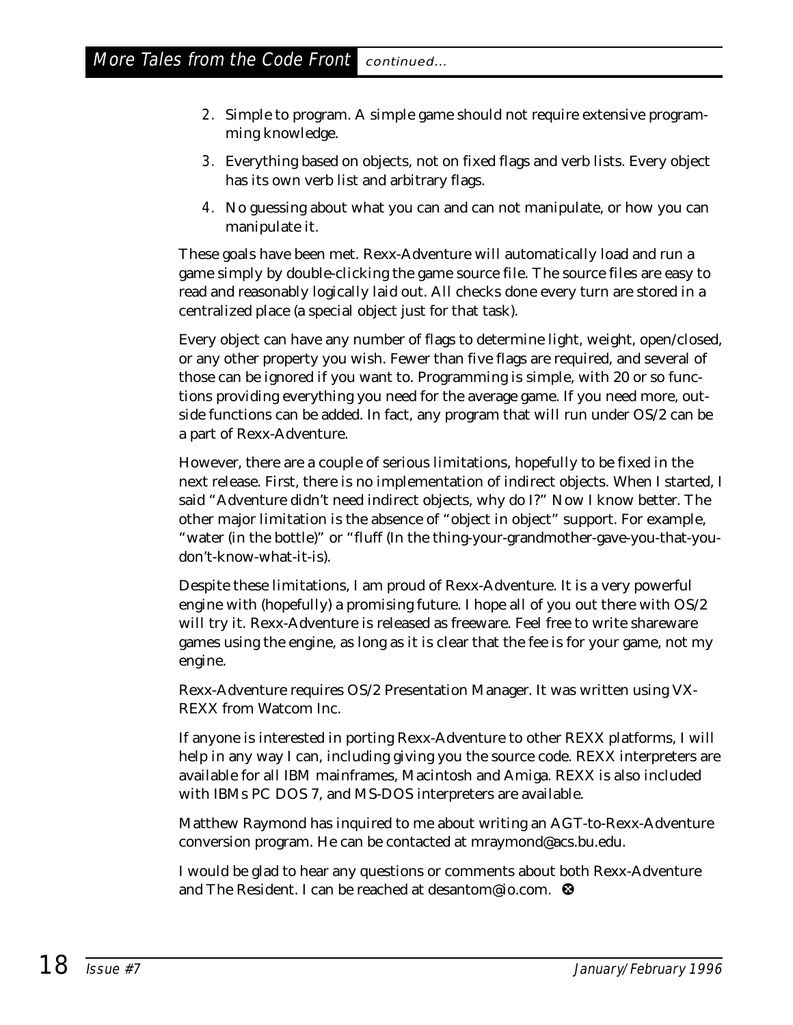- 2. Simple to program. A simple game should not require extensive programming knowledge.
- 3. Everything based on objects, not on fixed flags and verb lists. Every object has its own verb list and arbitrary flags.
- 4. No guessing about what you can and can not manipulate, or how you can manipulate it.

These goals have been met. Rexx-Adventure will automatically load and run a game simply by double-clicking the game source file. The source files are easy to read and reasonably logically laid out. All checks done every turn are stored in a centralized place (a special object just for that task).

Every object can have any number of flags to determine light, weight, open/closed, or any other property you wish. Fewer than five flags are required, and several of those can be ignored if you want to. Programming is simple, with 20 or so functions providing everything you need for the average game. If you need more, outside functions can be added. In fact, any program that will run under OS/2 can be a part of Rexx-Adventure.

However, there are a couple of serious limitations, hopefully to be fixed in the next release. First, there is no implementation of indirect objects. When I started, I said "Adventure didn't need indirect objects, why do I?" Now I know better. The other major limitation is the absence of "object in object" support. For example, "water (in the bottle)" or "fluff (In the thing-your-grandmother-gave-you-that-youdon't-know-what-it-is).

Despite these limitations, I am proud of Rexx-Adventure. It is a very powerful engine with (hopefully) a promising future. I hope all of you out there with OS/2 will try it. Rexx-Adventure is released as freeware. Feel free to write shareware games using the engine, as long as it is clear that the fee is for your game, not my engine.

Rexx-Adventure requires OS/2 Presentation Manager. It was written using VX-REXX from Watcom Inc.

If anyone is interested in porting Rexx-Adventure to other REXX platforms, I will help in any way I can, including giving you the source code. REXX interpreters are available for all IBM mainframes, Macintosh and Amiga. REXX is also included with IBMs PC DOS 7, and MS-DOS interpreters are available.

Matthew Raymond has inquired to me about writing an AGT-to-Rexx-Adventure conversion program. He can be contacted at mraymond@acs.bu.edu.

I would be glad to hear any questions or comments about both Rexx-Adventure and The Resident. I can be reached at desantom@io.com. <sup>®</sup>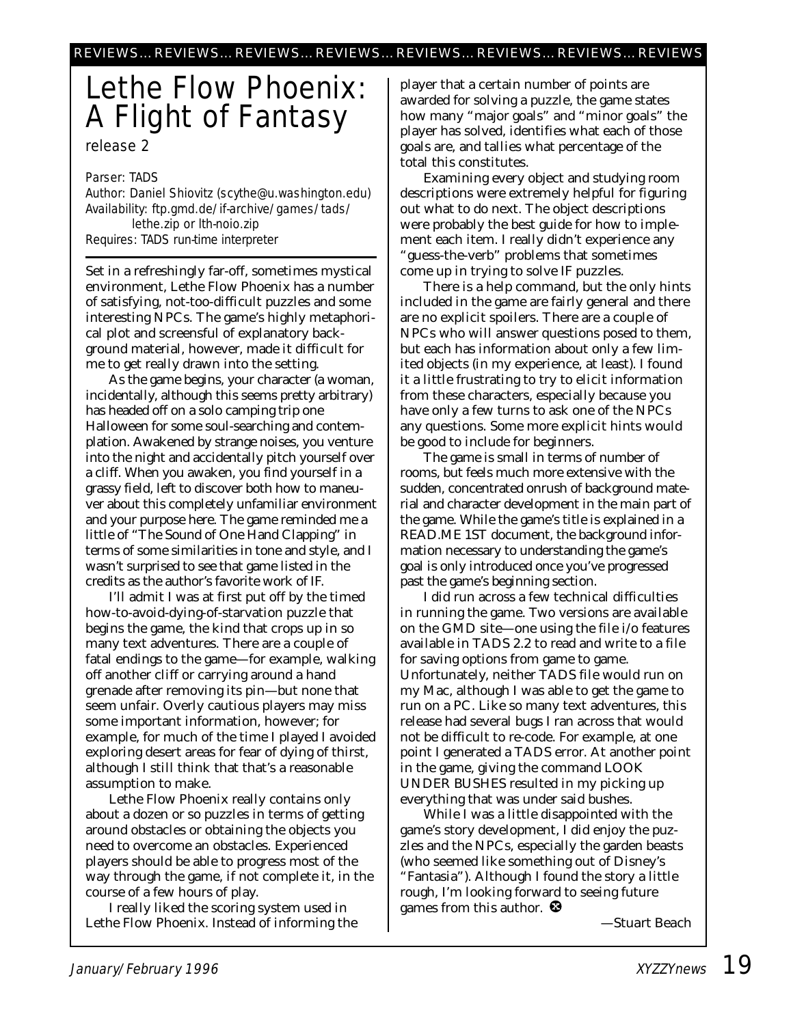# Lethe Flow Phoenix: A Flight of Fantasy

release 2

Parser: TADS

Author: Daniel Shiovitz (scythe@u.washington.edu) Availability: ftp.gmd.de/if-archive/games/tads/ lethe.zip or lth-noio.zip Requires: TADS run-time interpreter

Set in a refreshingly far-off, sometimes mystical environment, Lethe Flow Phoenix has a number of satisfying, not-too-difficult puzzles and some interesting NPCs. The game's highly metaphorical plot and screensful of explanatory background material, however, made it difficult for me to get really drawn into the setting.

As the game begins, your character (a woman, incidentally, although this seems pretty arbitrary) has headed off on a solo camping trip one Halloween for some soul-searching and contemplation. Awakened by strange noises, you venture into the night and accidentally pitch yourself over a cliff. When you awaken, you find yourself in a grassy field, left to discover both how to maneuver about this completely unfamiliar environment and your purpose here. The game reminded me a little of "The Sound of One Hand Clapping" in terms of some similarities in tone and style, and I wasn't surprised to see that game listed in the credits as the author's favorite work of IF.

I'll admit I was at first put off by the timed how-to-avoid-dying-of-starvation puzzle that begins the game, the kind that crops up in so many text adventures. There are a couple of fatal endings to the game—for example, walking off another cliff or carrying around a hand grenade after removing its pin—but none that seem unfair. Overly cautious players may miss some important information, however; for example, for much of the time I played I avoided exploring desert areas for fear of dying of thirst, although I still think that that's a reasonable assumption to make.

Lethe Flow Phoenix really contains only about a dozen or so puzzles in terms of getting around obstacles or obtaining the objects you need to overcome an obstacles. Experienced players should be able to progress most of the way through the game, if not complete it, in the course of a few hours of play.

I really liked the scoring system used in Lethe Flow Phoenix. Instead of informing the

player that a certain number of points are awarded for solving a puzzle, the game states how many "major goals" and "minor goals" the player has solved, identifies what each of those goals are, and tallies what percentage of the total this constitutes.

Examining every object and studying room descriptions were extremely helpful for figuring out what to do next. The object descriptions were probably the best guide for how to implement each item. I really didn't experience any "guess-the-verb" problems that sometimes come up in trying to solve IF puzzles.

There is a help command, but the only hints included in the game are fairly general and there are no explicit spoilers. There are a couple of NPCs who will answer questions posed to them, but each has information about only a few limited objects (in my experience, at least). I found it a little frustrating to try to elicit information from these characters, especially because you have only a few turns to ask one of the NPCs any questions. Some more explicit hints would be good to include for beginners.

The game is small in terms of number of rooms, but feels much more extensive with the sudden, concentrated onrush of background material and character development in the main part of the game. While the game's title is explained in a READ.ME 1ST document, the background information necessary to understanding the game's goal is only introduced once you've progressed past the game's beginning section.

I did run across a few technical difficulties in running the game. Two versions are available on the GMD site—one using the file i/o features available in TADS 2.2 to read and write to a file for saving options from game to game. Unfortunately, neither TADS file would run on my Mac, although I was able to get the game to run on a PC. Like so many text adventures, this release had several bugs I ran across that would not be difficult to re-code. For example, at one point I generated a TADS error. At another point in the game, giving the command LOOK UNDER BUSHES resulted in my picking up everything that was under said bushes.

While I was a little disappointed with the game's story development, I did enjoy the puzzles and the NPCs, especially the garden beasts (who seemed like something out of Disney's "Fantasia"). Although I found the story a little rough, I'm looking forward to seeing future games from this author.  $\bullet$ 

*—Stuart Beach*